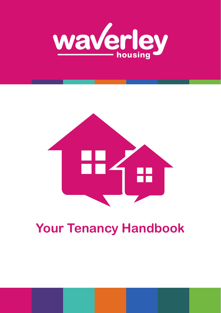



# **Your Tenancy Handbook**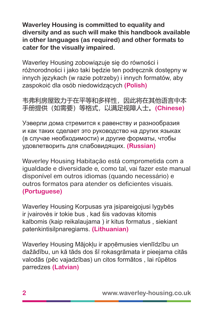**Waverley Housing is committed to equality and diversity and as such will make this handbook available in other languages (as required) and other formats to cater for the visually impaired.**

Waverley Housing zobowiązuje się do równości i różnorodności i jako taki będzie ten podręcznik dostępny w innych językach (w razie potrzeby) i innych formatów, aby zaspokoić dla osób niedowidzących **(Polish)**

韦弗利房屋致力于在平等和多样性,因此将在其他语言中本 手册提供(如需要)等格式,以满足视障人士。**(Chinese)**

Уэверли дома стремится к равенству и разнообразия и как таких сделает это руководство на других языках (в случае необходимости) и другие форматы, чтобы удовлетворить для слабовидящих. **(Russian)**

Waverley Housing Habitação está comprometida com a igualdade e diversidade e, como tal, vai fazer este manual disponível em outros idiomas (quando necessário) e outros formatos para atender os deficientes visuais. **(Portuguese)**

Waverley Housing Korpusas yra įsipareigojusi lygybės ir įvairovės ir tokie bus , kad šis vadovas kitomis kalbomis (kaip reikalaujama ) ir kitus formatus , siekiant patenkintisilpnaregiams. **(Lithuanian)**

Waverley Housing Mājokļu ir apņēmusies vienlīdzību un dažādību, un kā tāds dos šī rokasgrāmata ir pieejama citās valodās (pēc vajadzības) un citos formātos , lai rūpētos parredzes **(Latvian)**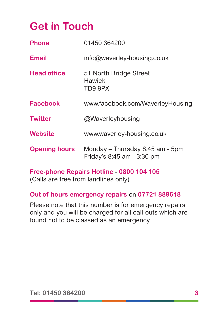## **Get in Touch**

| <b>Phone</b>         | 01450 364200                                                  |
|----------------------|---------------------------------------------------------------|
| <b>Email</b>         | info@waverley-housing.co.uk                                   |
| <b>Head office</b>   | 51 North Bridge Street<br>Hawick<br>TD9 9PX                   |
| <b>Facebook</b>      | www.facebook.com/WaverleyHousing                              |
| <b>Twitter</b>       | @Waverleyhousing                                              |
| Website              | www.waverley-housing.co.uk                                    |
| <b>Opening hours</b> | Monday – Thursday 8:45 am - 5pm<br>Friday's 8:45 am - 3:30 pm |

**Free-phone Repairs Hotline** - **0800 104 105** (Calls are free from landlines only)

#### **Out of hours emergency repairs** on **07721 889618**

Please note that this number is for emergency repairs only and you will be charged for all call-outs which are found not to be classed as an emergency.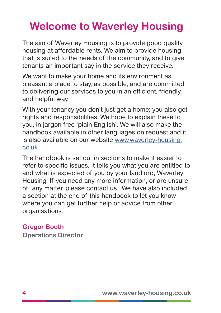# **Welcome to Waverley Housing**

The aim of Waverley Housing is to provide good quality housing at affordable rents. We aim to provide housing that is suited to the needs of the community, and to give tenants an important say in the service they receive.

We want to make your home and its environment as pleasant a place to stay, as possible, and are committed to delivering our services to you in an efficient, friendly and helpful way.

With your tenancy you don't just get a home; you also get rights and responsibilities. We hope to explain these to you, in jargon free 'plain English'. We will also make the handbook available in other languages on request and it is also available on our website [www.waverley-housing.](www.waverley-housing.co.uk) [co.uk](www.waverley-housing.co.uk)

The handbook is set out in sections to make it easier to refer to specific issues. It tells you what you are entitled to and what is expected of you by your landlord, Waverley Housing. If you need any more information, or are unsure of any matter, please contact us. We have also included a section at the end of this handbook to let you know where you can get further help or advice from other organisations.

#### **Gregor Booth**

**Operations Director**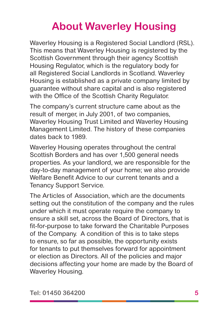# **About Waverley Housing**

Waverley Housing is a Registered Social Landlord (RSL). This means that Waverley Housing is registered by the Scottish Government through their agency Scottish Housing Regulator, which is the regulatory body for all Registered Social Landlords in Scotland. Waverley Housing is established as a private company limited by guarantee without share capital and is also registered with the Office of the Scottish Charity Regulator.

The company's current structure came about as the result of merger, in July 2001, of two companies, Waverley Housing Trust Limited and Waverley Housing Management Limited. The history of these companies dates back to 1989.

Waverley Housing operates throughout the central Scottish Borders and has over 1,500 general needs properties. As your landlord, we are responsible for the day-to-day management of your home; we also provide Welfare Benefit Advice to our current tenants and a Tenancy Support Service.

The Articles of Association, which are the documents setting out the constitution of the company and the rules under which it must operate require the company to ensure a skill set, across the Board of Directors, that is fit-for-purpose to take forward the Charitable Purposes of the Company. A condition of this is to take steps to ensure, so far as possible, the opportunity exists for tenants to put themselves forward for appointment or election as Directors. All of the policies and major decisions affecting your home are made by the Board of Waverley Housing.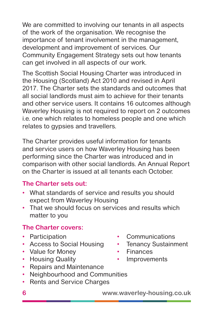We are committed to involving our tenants in all aspects of the work of the organisation. We recognise the importance of tenant involvement in the management, development and improvement of services. Our Community Engagement Strategy sets out how tenants can get involved in all aspects of our work.

The Scottish Social Housing Charter was introduced in the Housing (Scotland) Act 2010 and revised in April 2017. The Charter sets the standards and outcomes that all social landlords must aim to achieve for their tenants and other service users. It contains 16 outcomes although Waverley Housing is not required to report on 2 outcomes i.e. one which relates to homeless people and one which relates to gypsies and travellers.

The Charter provides useful information for tenants and service users on how Waverley Housing has been performing since the Charter was introduced and in comparison with other social landlords. An Annual Report on the Charter is issued at all tenants each October.

#### **The Charter sets out:**

- What standards of service and results you should expect from Waverley Housing
- That we should focus on services and results which matter to you

#### **The Charter covers:**

- 
- Access to Social Housing Tenancy Sustainment
- Value for Money Finances
- Housing Quality Improvements
- Repairs and Maintenance
- Neighbourhood and Communities
- Rents and Service Charges
- Participation Communications
	-
	-
	-

**6 www.waverley-housing.co.uk**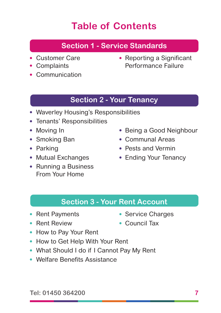## **Table of Contents**

#### **Section 1 - Service Standards**

- 
- 
- Communication
- Customer Care  **Reporting a Significant** • Complaints Performance Failure

#### **Section 2 - Your Tenancy**

- Waverley Housing's Responsibilities
- Tenants' Responsibilities
- 
- 
- 
- 
- Running a Business From Your Home
- Moving In Being a Good Neighbour
- Smoking Ban Communal Areas
- Parking  **Pests and Vermin**
- Mutual Exchanges Ending Your Tenancy

#### **Section 3 - Your Rent Account**

- Rent Payments Service Charges
- Rent Review Council Tax
- 
- How to Pay Your Rent
- How to Get Help With Your Rent
- What Should I do if I Cannot Pay My Rent
- Welfare Benefits Assistance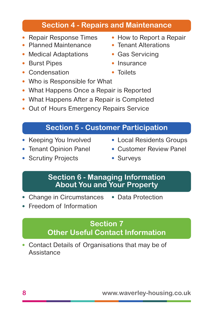#### **Section 4 - Repairs and Maintenance**

- 
- Planned Maintenance Tenant Alterations
- Medical Adaptations Gas Servicing
- Burst Pipes Insurance
- Condensation Toilets
- Who is Responsible for What
- What Happens Once a Repair is Reported
- What Happens After a Repair is Completed
- Out of Hours Emergency Repairs Service

#### **Section 5 - Customer Participation**

**Section 6 - Managing Information** 

- 
- 
- Scrutiny Projects Surveys
- Repair Response Times How to Report a Repair
	-
	-
	-
	-

- **About You and Your Property**
- Change in Circumstances Data Protection
- Freedom of Information

#### **Section 7 Other Useful Contact Information**

• Contact Details of Organisations that may be of **Assistance** 

- 
- Keeping You Involved Local Residents Groups
- Tenant Opinion Panel Customer Review Panel
-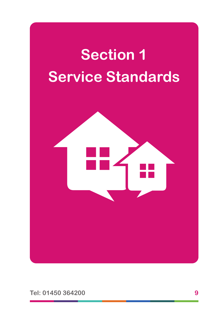

**Tel: 01450 364200 9**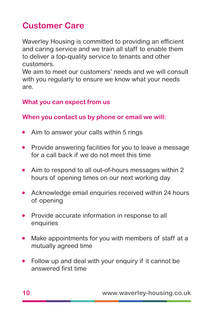## **Customer Care**

Waverley Housing is committed to providing an efficient and caring service and we train all staff to enable them to deliver a top-quality service to tenants and other customers.

We aim to meet our customers' needs and we will consult with you regularly to ensure we know what your needs are.

#### **What you can expect from us**

**When you contact us by phone or email we will:**

- Aim to answer your calls within 5 rings
- Provide answering facilities for you to leave a message for a call back if we do not meet this time
- Aim to respond to all out-of-hours messages within 2 hours of opening times on our next working day
- Acknowledge email enquiries received within 24 hours of opening
- Provide accurate information in response to all enquiries
- Make appointments for you with members of staff at a mutually agreed time
- Follow up and deal with your enquiry if it cannot be answered first time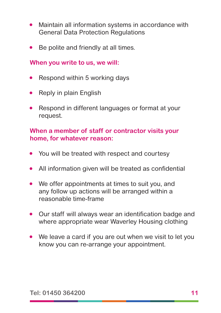- Maintain all information systems in accordance with General Data Protection Regulations
- Be polite and friendly at all times.

#### **When you write to us, we will:**

- Respond within 5 working days
- Reply in plain English
- Respond in different languages or format at your request.

#### **When a member of staff or contractor visits your home, for whatever reason:**

- You will be treated with respect and courtesy
- All information given will be treated as confidential
- We offer appointments at times to suit you, and any follow up actions will be arranged within a reasonable time-frame
- Our staff will always wear an identification badge and where appropriate wear Waverley Housing clothing
- We leave a card if you are out when we visit to let you know you can re-arrange your appointment.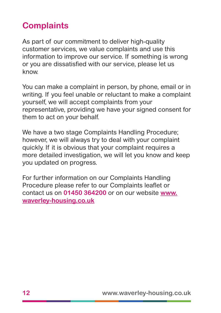## **Complaints**

As part of our commitment to deliver high-quality customer services, we value complaints and use this information to improve our service. If something is wrong or you are dissatisfied with our service, please let us know.

You can make a complaint in person, by phone, email or in writing. If you feel unable or reluctant to make a complaint yourself, we will accept complaints from your representative, providing we have your signed consent for them to act on your behalf.

We have a two stage Complaints Handling Procedure; however, we will always try to deal with your complaint quickly. If it is obvious that your complaint requires a more detailed investigation, we will let you know and keep you updated on progress.

For further information on our Complaints Handling Procedure please refer to our Complaints leaflet or contact us on **01450 364200** or on our website **[www.](http://www.waverley-housing.co.uk) [waverley-housing.co.uk](http://www.waverley-housing.co.uk)**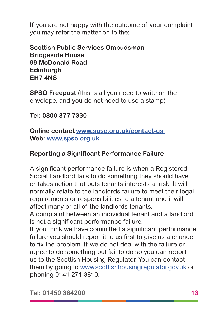If you are not happy with the outcome of your complaint you may refer the matter on to the:

**Scottish Public Services Ombudsman Bridgeside House 99 McDonald Road Edinburgh EH7 4NS**

**SPSO Freepost** (this is all you need to write on the envelope, and you do not need to use a stamp)

**Tel: 0800 377 7330**

**Online contact [www.spso.org.uk/contact-us](http://www.spso.org.uk/contact-us)  Web: [www.spso.org.uk](http://www.spso.org.uk)**

#### **Reporting a Significant Performance Failure**

A significant performance failure is when a Registered Social Landlord fails to do something they should have or takes action that puts tenants interests at risk. It will normally relate to the landlords failure to meet their legal requirements or responsibilities to a tenant and it will affect many or all of the landlords tenants.

A complaint between an individual tenant and a landlord is not a significant performance failure.

If you think we have committed a significant performance failure you should report it to us first to give us a chance to fix the problem. If we do not deal with the failure or agree to do something but fail to do so you can report us to the Scottish Housing Regulator. You can contact them by going to [www.scottishhousingregulator.gov.uk](http://www.scottishhousingregulator.gov.uk) or phoning 0141 271 3810.

**Tel: 01450 364200 13**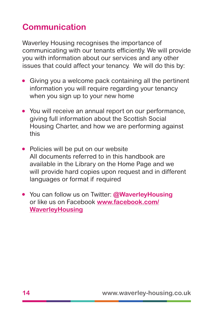## **Communication**

Waverley Housing recognises the importance of communicating with our tenants efficiently. We will provide you with information about our services and any other issues that could affect your tenancy. We will do this by:

- Giving you a welcome pack containing all the pertinent information you will require regarding your tenancy when you sign up to your new home
- You will receive an annual report on our performance, giving full information about the Scottish Social Housing Charter, and how we are performing against this
- Policies will be put on our website All documents referred to in this handbook are available in the Library on the Home Page and we will provide hard copies upon request and in different languages or format if required
- You can follow us on Twitter: **@WaverleyHousing** or like us on Facebook **[www.facebook.com/](http://www.facebook.com/			WaverleyHousing)  [WaverleyHousing](http://www.facebook.com/			WaverleyHousing)**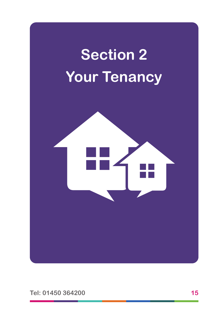



**Tel: 01450 364200 15**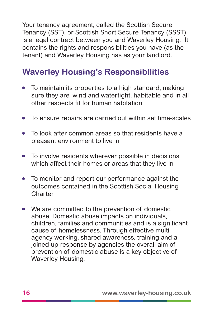Your tenancy agreement, called the Scottish Secure Tenancy (SST), or Scottish Short Secure Tenancy (SSST), is a legal contract between you and Waverley Housing. It contains the rights and responsibilities you have (as the tenant) and Waverley Housing has as your landlord.

## **Waverley Housing's Responsibilities**

- To maintain its properties to a high standard, making sure they are, wind and watertight, habitable and in all other respects fit for human habitation
- To ensure repairs are carried out within set time-scales
- To look after common areas so that residents have a pleasant environment to live in
- To involve residents wherever possible in decisions which affect their homes or areas that they live in
- To monitor and report our performance against the outcomes contained in the Scottish Social Housing Charter
- We are committed to the prevention of domestic abuse. Domestic abuse impacts on individuals, children, families and communities and is a significant cause of homelessness. Through effective multi agency working, shared awareness, training and a joined up response by agencies the overall aim of prevention of domestic abuse is a key objective of Waverley Housing.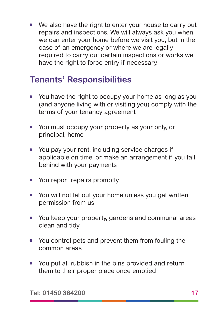• We also have the right to enter your house to carry out repairs and inspections. We will always ask you when we can enter your home before we visit you, but in the case of an emergency or where we are legally required to carry out certain inspections or works we have the right to force entry if necessary.

## **Tenants' Responsibilities**

- You have the right to occupy your home as long as you (and anyone living with or visiting you) comply with the terms of your tenancy agreement
- You must occupy your property as your only, or principal, home
- You pay your rent, including service charges if applicable on time, or make an arrangement if you fall behind with your payments
- You report repairs promptly
- You will not let out your home unless you get written permission from us
- You keep your property, gardens and communal areas clean and tidy
- You control pets and prevent them from fouling the common areas
- You put all rubbish in the bins provided and return them to their proper place once emptied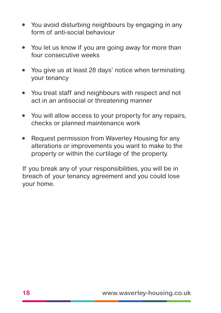- You avoid disturbing neighbours by engaging in any form of anti-social behaviour
- You let us know if you are going away for more than four consecutive weeks
- You give us at least 28 days' notice when terminating your tenancy
- You treat staff and neighbours with respect and not act in an antisocial or threatening manner
- You will allow access to your property for any repairs, checks or planned maintenance work
- Request permission from Waverley Housing for any alterations or improvements you want to make to the property or within the curtilage of the property.

If you break any of your responsibilities, you will be in breach of your tenancy agreement and you could lose your home.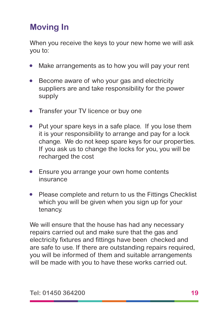## **Moving In**

When you receive the keys to your new home we will ask you to:

- Make arrangements as to how you will pay your rent
- Become aware of who your gas and electricity suppliers are and take responsibility for the power supply
- Transfer your TV licence or buy one
- Put your spare keys in a safe place. If you lose them it is your responsibility to arrange and pay for a lock change. We do not keep spare keys for our properties. If you ask us to change the locks for you, you will be recharged the cost
- Ensure you arrange your own home contents insurance
- Please complete and return to us the Fittings Checklist which you will be given when you sign up for your tenancy.

We will ensure that the house has had any necessary repairs carried out and make sure that the gas and electricity fixtures and fittings have been checked and are safe to use. If there are outstanding repairs required, you will be informed of them and suitable arrangements will be made with you to have these works carried out.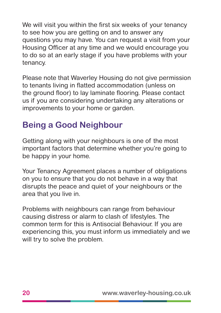We will visit you within the first six weeks of your tenancy to see how you are getting on and to answer any questions you may have. You can request a visit from your Housing Officer at any time and we would encourage you to do so at an early stage if you have problems with your tenancy.

Please note that Waverley Housing do not give permission to tenants living in flatted accommodation (unless on the ground floor) to lay laminate flooring. Please contact us if you are considering undertaking any alterations or improvements to your home or garden.

## **Being a Good Neighbour**

Getting along with your neighbours is one of the most important factors that determine whether you're going to be happy in your home.

Your Tenancy Agreement places a number of obligations on you to ensure that you do not behave in a way that disrupts the peace and quiet of your neighbours or the area that you live in.

Problems with neighbours can range from behaviour causing distress or alarm to clash of lifestyles. The common term for this is Antisocial Behaviour. If you are experiencing this, you must inform us immediately and we will try to solve the problem.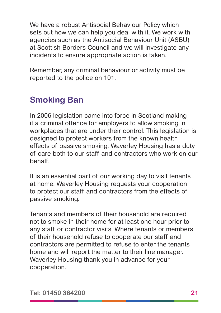We have a robust Antisocial Behaviour Policy which sets out how we can help you deal with it. We work with agencies such as the Antisocial Behaviour Unit (ASBU) at Scottish Borders Council and we will investigate any incidents to ensure appropriate action is taken.

Remember, any criminal behaviour or activity must be reported to the police on 101.

## **Smoking Ban**

In 2006 legislation came into force in Scotland making it a criminal offence for employers to allow smoking in workplaces that are under their control. This legislation is designed to protect workers from the known health effects of passive smoking. Waverley Housing has a duty of care both to our staff and contractors who work on our behalf.

It is an essential part of our working day to visit tenants at home; Waverley Housing requests your cooperation to protect our staff and contractors from the effects of passive smoking.

Tenants and members of their household are required not to smoke in their home for at least one hour prior to any staff or contractor visits. Where tenants or members of their household refuse to cooperate our staff and contractors are permitted to refuse to enter the tenants home and will report the matter to their line manager. Waverley Housing thank you in advance for your cooperation.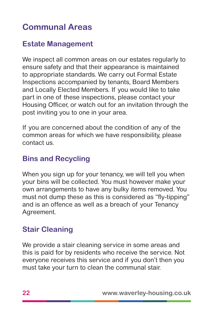## **Communal Areas**

#### **Estate Management**

We inspect all common areas on our estates regularly to ensure safety and that their appearance is maintained to appropriate standards. We carry out Formal Estate Inspections accompanied by tenants, Board Members and Locally Elected Members. If you would like to take part in one of these inspections, please contact your Housing Officer, or watch out for an invitation through the post inviting you to one in your area.

If you are concerned about the condition of any of the common areas for which we have responsibility, please contact us.

#### **Bins and Recycling**

When you sign up for your tenancy, we will tell you when your bins will be collected. You must however make your own arrangements to have any bulky items removed. You must not dump these as this is considered as "fly-tipping" and is an offence as well as a breach of your Tenancy Agreement.

#### **Stair Cleaning**

We provide a stair cleaning service in some areas and this is paid for by residents who receive the service. Not everyone receives this service and if you don't then you must take your turn to clean the communal stair.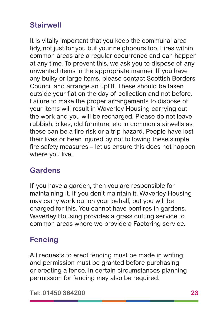#### **Stairwell**

It is vitally important that you keep the communal area tidy, not just for you but your neighbours too. Fires within common areas are a regular occurrence and can happen at any time. To prevent this, we ask you to dispose of any unwanted items in the appropriate manner. If you have any bulky or large items, please contact Scottish Borders Council and arrange an uplift. These should be taken outside your flat on the day of collection and not before. Failure to make the proper arrangements to dispose of your items will result in Waverley Housing carrying out the work and you will be recharged. Please do not leave rubbish, bikes, old furniture, etc in common stairwells as these can be a fire risk or a trip hazard. People have lost their lives or been injured by not following these simple fire safety measures – let us ensure this does not happen where you live.

#### **Gardens**

If you have a garden, then you are responsible for maintaining it. If you don't maintain it, Waverley Housing may carry work out on your behalf, but you will be charged for this. You cannot have bonfires in gardens. Waverley Housing provides a grass cutting service to common areas where we provide a Factoring service.

#### **Fencing**

All requests to erect fencing must be made in writing and permission must be granted before purchasing or erecting a fence. In certain circumstances planning permission for fencing may also be required.

**Tel: 01450 364200 23**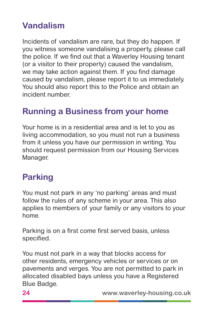## **Vandalism**

Incidents of vandalism are rare, but they do happen. If you witness someone vandalising a property, please call the police. If we find out that a Waverley Housing tenant (or a visitor to their property) caused the vandalism, we may take action against them. If you find damage caused by vandalism, please report it to us immediately. You should also report this to the Police and obtain an incident number.

## **Running a Business from your home**

Your home is in a residential area and is let to you as living accommodation, so you must not run a business from it unless you have our permission in writing. You should request permission from our Housing Services Manager.

#### **Parking**

You must not park in any 'no parking' areas and must follow the rules of any scheme in your area. This also applies to members of your family or any visitors to your home.

Parking is on a first come first served basis, unless specified.

You must not park in a way that blocks access for other residents, emergency vehicles or services or on pavements and verges. You are not permitted to park in allocated disabled bays unless you have a Registered Blue Badge.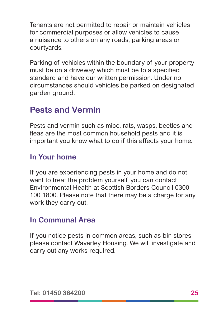Tenants are not permitted to repair or maintain vehicles for commercial purposes or allow vehicles to cause a nuisance to others on any roads, parking areas or courtyards.

Parking of vehicles within the boundary of your property must be on a driveway which must be to a specified standard and have our written permission. Under no circumstances should vehicles be parked on designated garden ground.

## **Pests and Vermin**

Pests and vermin such as mice, rats, wasps, beetles and fleas are the most common household pests and it is important you know what to do if this affects your home.

#### **In Your home**

If you are experiencing pests in your home and do not want to treat the problem yourself, you can contact Environmental Health at Scottish Borders Council 0300 100 1800. Please note that there may be a charge for any work they carry out.

#### **In Communal Area**

If you notice pests in common areas, such as bin stores please contact Waverley Housing. We will investigate and carry out any works required.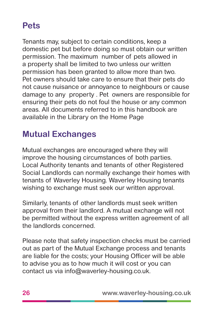## **Pets**

Tenants may, subject to certain conditions, keep a domestic pet but before doing so must obtain our written permission. The maximum number of pets allowed in a property shall be limited to two unless our written permission has been granted to allow more than two. Pet owners should take care to ensure that their pets do not cause nuisance or annoyance to neighbours or cause damage to any property . Pet owners are responsible for ensuring their pets do not foul the house or any common areas. All documents referred to in this handbook are available in the Library on the Home Page

## **Mutual Exchanges**

Mutual exchanges are encouraged where they will improve the housing circumstances of both parties. Local Authority tenants and tenants of other Registered Social Landlords can normally exchange their homes with tenants of Waverley Housing. Waverley Housing tenants wishing to exchange must seek our written approval.

Similarly, tenants of other landlords must seek written approval from their landlord. A mutual exchange will not be permitted without the express written agreement of all the landlords concerned.

Please note that safety inspection checks must be carried out as part of the Mutual Exchange process and tenants are liable for the costs; your Housing Officer will be able to advise you as to how much it will cost or you can contact us via info@waverley-housing.co.uk.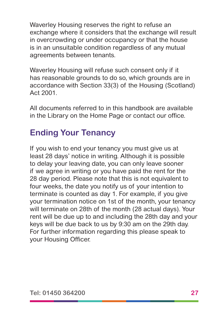Waverley Housing reserves the right to refuse an exchange where it considers that the exchange will result in overcrowding or under occupancy or that the house is in an unsuitable condition regardless of any mutual agreements between tenants.

Waverley Housing will refuse such consent only if it has reasonable grounds to do so, which grounds are in accordance with Section 33(3) of the Housing (Scotland) Act 2001.

All documents referred to in this handbook are available in the Library on the Home Page or contact our office.

## **Ending Your Tenancy**

If you wish to end your tenancy you must give us at least 28 days' notice in writing. Although it is possible to delay your leaving date, you can only leave sooner if we agree in writing or you have paid the rent for the 28 day period. Please note that this is not equivalent to four weeks, the date you notify us of your intention to terminate is counted as day 1. For example, if you give your termination notice on 1st of the month, your tenancy will terminate on 28th of the month (28 actual days). Your rent will be due up to and including the 28th day and your keys will be due back to us by 9:30 am on the 29th day. For further information regarding this please speak to your Housing Officer.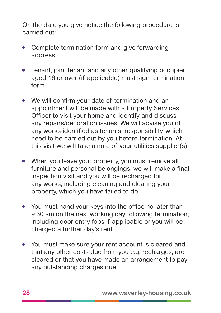On the date you give notice the following procedure is carried out:

- Complete termination form and give forwarding address
- Tenant, joint tenant and any other qualifying occupier aged 16 or over (if applicable) must sign termination form
- We will confirm your date of termination and an appointment will be made with a Property Services Officer to visit your home and identify and discuss any repairs/decoration issues. We will advise you of any works identified as tenants' responsibility, which need to be carried out by you before termination. At this visit we will take a note of your utilities supplier(s)
- When you leave your property, you must remove all furniture and personal belongings; we will make a final inspection visit and you will be recharged for any works, including cleaning and clearing your property, which you have failed to do
- You must hand your keys into the office no later than 9:30 am on the next working day following termination, including door entry fobs if applicable or you will be charged a further day's rent
- You must make sure your rent account is cleared and that any other costs due from you e.g. recharges, are cleared or that you have made an arrangement to pay any outstanding charges due.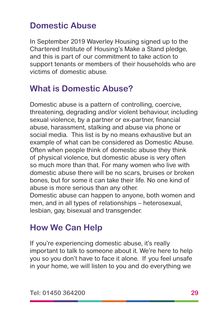## **Domestic Abuse**

In September 2019 Waverley Housing signed up to the Chartered Institute of Housing's Make a Stand pledge, and this is part of our commitment to take action to support tenants or members of their households who are victims of domestic abuse.

## **What is Domestic Abuse?**

Domestic abuse is a pattern of controlling, coercive, threatening, degrading and/or violent behaviour, including sexual violence, by a partner or ex-partner, financial abuse, harassment, stalking and abuse via phone or social media. This list is by no means exhaustive but an example of what can be considered as Domestic Abuse. Often when people think of domestic abuse they think of physical violence, but domestic abuse is very often so much more than that. For many women who live with domestic abuse there will be no scars, bruises or broken bones, but for some it can take their life. No one kind of abuse is more serious than any other.

Domestic abuse can happen to anyone, both women and men, and in all types of relationships – heterosexual, lesbian, gay, bisexual and transgender.

## **How We Can Help**

If you're experiencing domestic abuse, it's really important to talk to someone about it. We're here to help you so you don't have to face it alone. If you feel unsafe in your home, we will listen to you and do everything we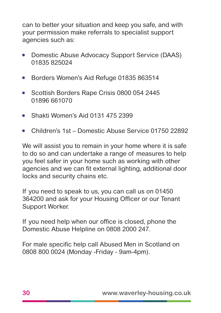can to better your situation and keep you safe, and with your permission make referrals to specialist support agencies such as:

- Domestic Abuse Advocacy Support Service (DAAS) 01835 825024
- Borders Women's Aid Refuge 01835 863514
- Scottish Borders Rape Crisis 0800 054 2445 01896 661070
- Shakti Women's Aid 0131 475 2399
- Children's 1st Domestic Abuse Service 01750 22892

We will assist you to remain in your home where it is safe to do so and can undertake a range of measures to help you feel safer in your home such as working with other agencies and we can fit external lighting, additional door locks and security chains etc.

If you need to speak to us, you can call us on 01450 364200 and ask for your Housing Officer or our Tenant Support Worker.

If you need help when our office is closed, phone the Domestic Abuse Helpline on 0808 2000 247.

For male specific help call Abused Men in Scotland on 0808 800 0024 (Monday -Friday - 9am-4pm).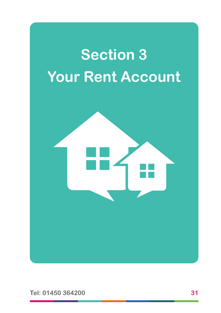

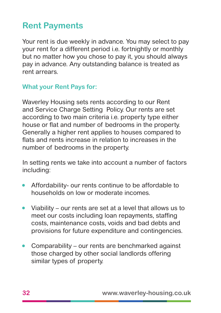## **Rent Payments**

Your rent is due weekly in advance. You may select to pay your rent for a different period i.e. fortnightly or monthly but no matter how you chose to pay it, you should always pay in advance. Any outstanding balance is treated as rent arrears.

#### **What your Rent Pays for:**

Waverley Housing sets rents according to our Rent and Service Charge Setting Policy. Our rents are set according to two main criteria i.e. property type either house or flat and number of bedrooms in the property. Generally a higher rent applies to houses compared to flats and rents increase in relation to increases in the number of bedrooms in the property.

In setting rents we take into account a number of factors including:

- Affordability- our rents continue to be affordable to households on low or moderate incomes.
- Viability our rents are set at a level that allows us to meet our costs including loan repayments, staffing costs, maintenance costs, voids and bad debts and provisions for future expenditure and contingencies.
- Comparability our rents are benchmarked against those charged by other social landlords offering similar types of property.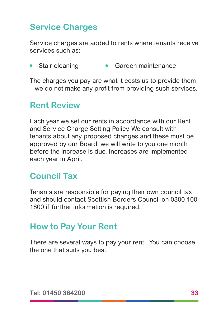## **Service Charges**

Service charges are added to rents where tenants receive services such as:

Stair cleaning • Garden maintenance

The charges you pay are what it costs us to provide them – we do not make any profit from providing such services.

#### **Rent Review**

Each year we set our rents in accordance with our Rent and Service Charge Setting Policy. We consult with tenants about any proposed changes and these must be approved by our Board; we will write to you one month before the increase is due. Increases are implemented each year in April.

#### **Council Tax**

Tenants are responsible for paying their own council tax and should contact Scottish Borders Council on 0300 100 1800 if further information is required.

#### **How to Pay Your Rent**

There are several ways to pay your rent. You can choose the one that suits you best.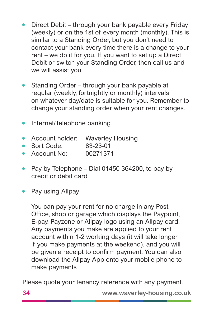- Direct Debit through your bank payable every Friday (weekly) or on the 1st of every month (monthly). This is similar to a Standing Order, but you don't need to contact your bank every time there is a change to your rent – we do it for you. If you want to set up a Direct Debit or switch your Standing Order, then call us and we will assist you
- Standing Order through your bank payable at regular (weekly, fortnightly or monthly) intervals on whatever day/date is suitable for you. Remember to change your standing order when your rent changes.
- Internet/Telephone banking
- Account holder: Waverley Housing
- Sort Code: 83-23-01
- Account No: 00271371
- Pay by Telephone Dial 01450 364200, to pay by credit or debit card
- Pay using Allpay.

You can pay your rent for no charge in any Post Office, shop or garage which displays the Paypoint, E-pay, Payzone or Allpay logo using an Allpay card. Any payments you make are applied to your rent account within 1-2 working days (it will take longer if you make payments at the weekend). and you will be given a receipt to confirm payment. You can also download the Allpay App onto your mobile phone to make payments

Please quote your tenancy reference with any payment.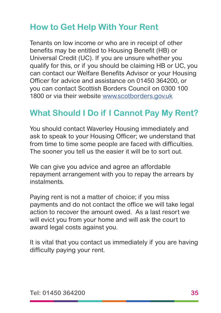## **How to Get Help With Your Rent**

Tenants on low income or who are in receipt of other benefits may be entitled to Housing Benefit (HB) or Universal Credit (UC). If you are unsure whether you qualify for this, or if you should be claiming HB or UC, you can contact our Welfare Benefits Advisor or your Housing Officer for advice and assistance on 01450 364200, or you can contact Scottish Borders Council on 0300 100 1800 or via their website [www.scotborders.gov.uk](http://www.scotborders.gov.uk)

## **What Should I Do if I Cannot Pay My Rent?**

You should contact Waverley Housing immediately and ask to speak to your Housing Officer; we understand that from time to time some people are faced with difficulties. The sooner you tell us the easier it will be to sort out.

We can give you advice and agree an affordable repayment arrangement with you to repay the arrears by instalments.

Paying rent is not a matter of choice; if you miss payments and do not contact the office we will take legal action to recover the amount owed. As a last resort we will evict you from your home and will ask the court to award legal costs against you.

It is vital that you contact us immediately if you are having difficulty paying your rent.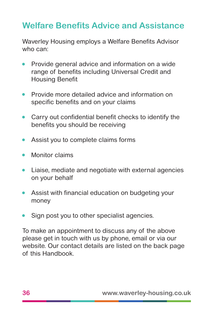## **Welfare Benefits Advice and Assistance**

Waverley Housing employs a Welfare Benefits Advisor who can:

- Provide general advice and information on a wide range of benefits including Universal Credit and Housing Benefit
- Provide more detailed advice and information on specific benefits and on your claims
- Carry out confidential benefit checks to identify the benefits you should be receiving
- Assist you to complete claims forms
- Monitor claims
- Liaise, mediate and negotiate with external agencies on your behalf
- Assist with financial education on budgeting your money
- Sign post you to other specialist agencies.

To make an appointment to discuss any of the above please get in touch with us by phone, email or via our website. Our contact details are listed on the back page of this Handbook.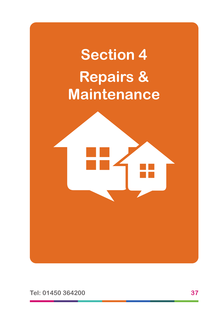# **Section 4 Repairs & Maintenance**

**Tel: 01450 364200 37**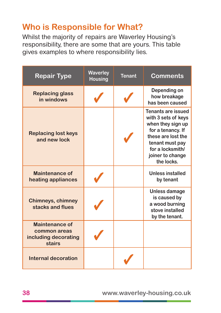## **Who is Responsible for What?**

Whilst the majority of repairs are Waverley Housing's responsibility, there are some that are yours. This table gives examples to where responsibility lies.

| <b>Repair Type</b>                                               | <b>Waverley</b><br><b>Housing</b> | <b>Tenant</b> | <b>Comments</b>                                                                                                                                                                    |
|------------------------------------------------------------------|-----------------------------------|---------------|------------------------------------------------------------------------------------------------------------------------------------------------------------------------------------|
| <b>Replacing glass</b><br>in windows                             |                                   |               | Depending on<br>how breakage<br>has been caused                                                                                                                                    |
| <b>Replacing lost keys</b><br>and new lock                       |                                   |               | Tenants are issued<br>with 3 sets of keys<br>when they sign up<br>for a tenancy. If<br>these are lost the<br>tenant must pay<br>for a locksmith/<br>joiner to change<br>the locks. |
| Maintenance of<br>heating appliances                             |                                   |               | <b>Unless installed</b><br>by tenant                                                                                                                                               |
| <b>Chimneys, chimney</b><br>stacks and flues                     |                                   |               | Unless damage<br>is caused by<br>a wood burning<br>stove installed<br>by the tenant.                                                                                               |
| Maintenance of<br>common areas<br>including decorating<br>stairs |                                   |               |                                                                                                                                                                                    |
| <b>Internal decoration</b>                                       |                                   |               |                                                                                                                                                                                    |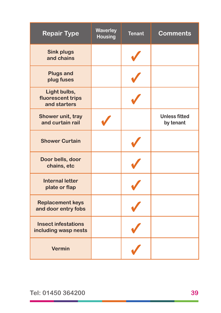| <b>Repair Type</b>                                 | <b>Waverley</b><br><b>Housing</b> | <b>Tenant</b> | <b>Comments</b>                   |
|----------------------------------------------------|-----------------------------------|---------------|-----------------------------------|
| <b>Sink plugs</b><br>and chains                    |                                   |               |                                   |
| <b>Plugs and</b><br>plug fuses                     |                                   |               |                                   |
| Light bulbs,<br>fluorescent trips<br>and starters  |                                   |               |                                   |
| Shower unit, tray<br>and curtain rail              |                                   |               | <b>Unless fitted</b><br>by tenant |
| <b>Shower Curtain</b>                              |                                   |               |                                   |
| Door bells, door<br>chains, etc                    |                                   |               |                                   |
| <b>Internal letter</b><br>plate or flap            |                                   |               |                                   |
| <b>Replacement keys</b><br>and door entry fobs     |                                   |               |                                   |
| <b>Insect infestations</b><br>including wasp nests |                                   |               |                                   |
| <b>Vermin</b>                                      |                                   |               |                                   |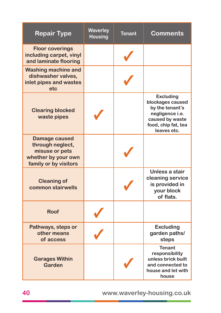| <b>Repair Type</b>                                                                                         | <b>Waverley</b><br><b>Housing</b> | <b>Tenant</b> | <b>Comments</b>                                                                                                                     |
|------------------------------------------------------------------------------------------------------------|-----------------------------------|---------------|-------------------------------------------------------------------------------------------------------------------------------------|
| <b>Floor coverings</b><br>including carpet, vinyl<br>and laminate flooring                                 |                                   |               |                                                                                                                                     |
| <b>Washing machine and</b><br>dishwasher valves,<br>inlet pipes and wastes<br>etc                          |                                   |               |                                                                                                                                     |
| <b>Clearing blocked</b><br>waste pipes                                                                     |                                   |               | <b>Excluding</b><br>blockages caused<br>by the tenant's<br>negligence i.e.<br>caused by waste<br>food, chip fat, tea<br>leaves etc. |
| <b>Damage caused</b><br>through neglect,<br>misuse or pets<br>whether by your own<br>family or by visitors |                                   |               |                                                                                                                                     |
| <b>Cleaning of</b><br>common stairwells                                                                    |                                   |               | Unless a stair<br>cleaning service<br>is provided in<br>your block<br>of flats.                                                     |
| <b>Roof</b>                                                                                                |                                   |               |                                                                                                                                     |
| Pathways, steps or<br>other means<br>of access                                                             |                                   |               | <b>Excluding</b><br>garden paths/<br>steps                                                                                          |
| <b>Garages Within</b><br><b>Garden</b>                                                                     |                                   |               | <b>Tenant</b><br>responsibility<br>unless brick built<br>and connected to<br>house and let with<br>house                            |

**40 www.waverley-housing.co.uk**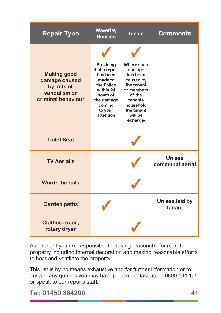| <b>Repair Type</b>                                                                      | <b>Waverley</b><br><b>Housing</b>                                                                                                        | <b>Tenant</b>                                                                                                                                     | <b>Comments</b>                  |
|-----------------------------------------------------------------------------------------|------------------------------------------------------------------------------------------------------------------------------------------|---------------------------------------------------------------------------------------------------------------------------------------------------|----------------------------------|
| <b>Making good</b><br>damage caused<br>by acts of<br>vandalism or<br>criminal behaviour | Providing<br>that a report<br>has been<br>made to<br>the Police<br>within 24<br>hours of<br>the damage<br>coming<br>to your<br>attention | Where such<br>damage<br>has been<br>caused by<br>the tenant<br>or members<br>of the<br>tenants<br>household<br>the tenant<br>will be<br>recharged |                                  |
| <b>Toilet Seat</b>                                                                      |                                                                                                                                          |                                                                                                                                                   |                                  |
| <b>TV Aerial's</b>                                                                      |                                                                                                                                          |                                                                                                                                                   | <b>Unless</b><br>communal aerial |
| <b>Wardrobe rails</b>                                                                   |                                                                                                                                          |                                                                                                                                                   |                                  |
| <b>Garden paths</b>                                                                     |                                                                                                                                          |                                                                                                                                                   | <b>Unless laid by</b><br>tenant  |
| <b>Clothes ropes,</b><br>rotary dryer                                                   |                                                                                                                                          |                                                                                                                                                   |                                  |

As a tenant you are responsible for taking reasonable care of the property including internal decoration and making reasonable efforts to heat and ventilate the property.

This list is by no means exhaustive and for further information or to answer any queries you may have please contact us on 0800 104 105 or speak to our repairs staff.

**Tel: 01450 364200 41**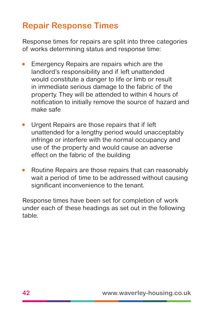## **Repair Response Times**

Response times for repairs are split into three categories of works determining status and response time:

- Emergency Repairs are repairs which are the landlord's responsibility and if left unattended would constitute a danger to life or limb or result in immediate serious damage to the fabric of the property. They will be attended to within 4 hours of notification to initially remove the source of hazard and make safe
- Urgent Repairs are those repairs that if left unattended for a lengthy period would unacceptably infringe or interfere with the normal occupancy and use of the property and would cause an adverse effect on the fabric of the building
- Routine Repairs are those repairs that can reasonably wait a period of time to be addressed without causing significant inconvenience to the tenant.

Response times have been set for completion of work under each of these headings as set out in the following table.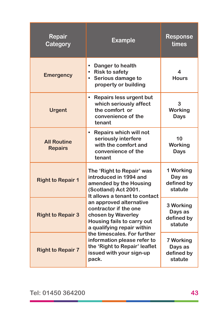| <b>Repair</b><br>Category            | <b>Example</b>                                                                                                                         | <b>Response</b><br>times                      |
|--------------------------------------|----------------------------------------------------------------------------------------------------------------------------------------|-----------------------------------------------|
| <b>Emergency</b>                     | Danger to health<br>$\bullet$<br>• Risk to safety<br>• Serious damage to<br>property or building                                       | 4<br><b>Hours</b>                             |
| <b>Urgent</b>                        | Repairs less urgent but<br>$\bullet$<br>which seriously affect<br>the comfort or<br>convenience of the<br>tenant                       | 3<br><b>Working</b><br><b>Days</b>            |
| <b>All Routine</b><br><b>Repairs</b> | <b>Repairs which will not</b><br>$\bullet$<br>seriously interfere<br>with the comfort and<br>convenience of the<br>tenant              | 10<br><b>Working</b><br><b>Days</b>           |
| <b>Right to Repair 1</b>             | The 'Right to Repair' was<br>introduced in 1994 and<br>amended by the Housing<br>(Scotland) Act 2001.<br>It allows a tenant to contact | 1 Working<br>Day as<br>defined by<br>statute  |
| <b>Right to Repair 3</b>             | an approved alternative<br>contractor if the one<br>chosen by Waverley<br>Housing fails to carry out<br>a qualifying repair within     | 3 Working<br>Days as<br>defined by<br>statute |
| <b>Right to Repair 7</b>             | the timescales. For further<br>information please refer to<br>the 'Right to Repair' leaflet<br>issued with your sign-up<br>pack.       | 7 Working<br>Days as<br>defined by<br>statute |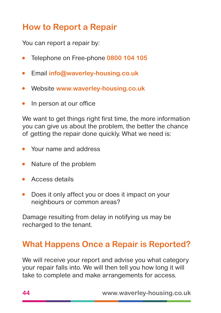## **How to Report a Repair**

You can report a repair by:

- Telephone on Free-phone **0800 104 105**
- Email **info@waverley-housing.co.uk**
- Website **www.waverley-housing.co.uk**
- In person at our office

We want to get things right first time, the more information you can give us about the problem, the better the chance of getting the repair done quickly. What we need is:

- Your name and address
- Nature of the problem
- Access details
- Does it only affect you or does it impact on your neighbours or common areas?

Damage resulting from delay in notifying us may be recharged to the tenant.

## **What Happens Once a Repair is Reported?**

We will receive your report and advise you what category your repair falls into. We will then tell you how long it will take to complete and make arrangements for access.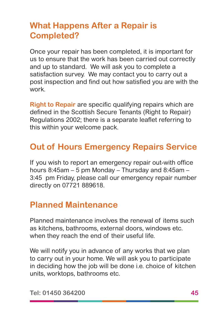## **What Happens After a Repair is Completed?**

Once your repair has been completed, it is important for us to ensure that the work has been carried out correctly and up to standard. We will ask you to complete a satisfaction survey. We may contact you to carry out a post inspection and find out how satisfied you are with the work.

**Right to Repair** are specific qualifying repairs which are defined in the Scottish Secure Tenants (Right to Repair) Regulations 2002; there is a separate leaflet referring to this within your welcome pack.

#### **Out of Hours Emergency Repairs Service**

If you wish to report an emergency repair out-with office hours 8:45am – 5 pm Monday – Thursday and 8:45am – 3:45 pm Friday, please call our emergency repair number directly on 07721 889618.

## **Planned Maintenance**

Planned maintenance involves the renewal of items such as kitchens, bathrooms, external doors, windows etc. when they reach the end of their useful life.

We will notify you in advance of any works that we plan to carry out in your home. We will ask you to participate in deciding how the job will be done i.e. choice of kitchen units, worktops, bathrooms etc.

**Tel: 01450 364200 45**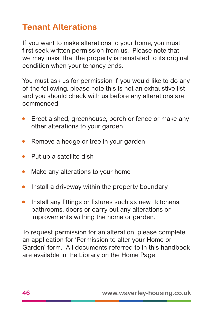## **Tenant Alterations**

If you want to make alterations to your home, you must first seek written permission from us. Please note that we may insist that the property is reinstated to its original condition when your tenancy ends.

You must ask us for permission if you would like to do any of the following, please note this is not an exhaustive list and you should check with us before any alterations are commenced.

- Erect a shed, greenhouse, porch or fence or make any other alterations to your garden
- Remove a hedge or tree in your garden
- Put up a satellite dish
- Make any alterations to your home
- Install a driveway within the property boundary
- Install any fittings or fixtures such as new kitchens, bathrooms, doors or carry out any alterations or improvements withing the home or garden.

To request permission for an alteration, please complete an application for 'Permission to alter your Home or Garden' form. All documents referred to in this handbook are available in the Library on the Home Page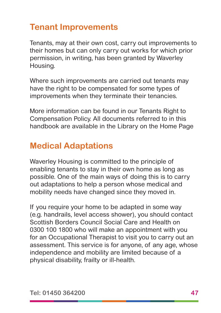## **Tenant Improvements**

Tenants, may at their own cost, carry out improvements to their homes but can only carry out works for which prior permission, in writing, has been granted by Waverley Housing.

Where such improvements are carried out tenants may have the right to be compensated for some types of improvements when they terminate their tenancies.

More information can be found in our Tenants Right to Compensation Policy. All documents referred to in this handbook are available in the Library on the Home Page

#### **Medical Adaptations**

Waverley Housing is committed to the principle of enabling tenants to stay in their own home as long as possible. One of the main ways of doing this is to carry out adaptations to help a person whose medical and mobility needs have changed since they moved in.

If you require your home to be adapted in some way (e.g. handrails, level access shower), you should contact Scottish Borders Council Social Care and Health on 0300 100 1800 who will make an appointment with you for an Occupational Therapist to visit you to carry out an assessment. This service is for anyone, of any age, whose independence and mobility are limited because of a physical disability, frailty or ill-health.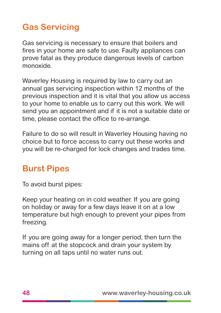## **Gas Servicing**

Gas servicing is necessary to ensure that boilers and fires in your home are safe to use. Faulty appliances can prove fatal as they produce dangerous levels of carbon monoxide.

Waverley Housing is required by law to carry out an annual gas servicing inspection within 12 months of the previous inspection and it is vital that you allow us access to your home to enable us to carry out this work. We will send you an appointment and if it is not a suitable date or time, please contact the office to re-arrange.

Failure to do so will result in Waverley Housing having no choice but to force access to carry out these works and you will be re-charged for lock changes and trades time.

## **Burst Pipes**

To avoid burst pipes:

Keep your heating on in cold weather. If you are going on holiday or away for a few days leave it on at a low temperature but high enough to prevent your pipes from freezing.

If you are going away for a longer period, then turn the mains off at the stopcock and drain your system by turning on all taps until no water runs out.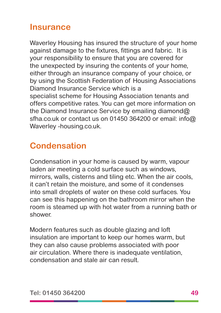#### **Insurance**

Waverley Housing has insured the structure of your home against damage to the fixtures, fittings and fabric. It is your responsibility to ensure that you are covered for the unexpected by insuring the contents of your home, either through an insurance company of your choice, or by using the Scottish Federation of Housing Associations Diamond Insurance Service which is a specialist scheme for Housing Association tenants and offers competitive rates. You can get more information on the Diamond Insurance Service by emailing diamond@ sfha.co.uk or contact us on 01450 364200 or email: info@ Waverley -housing.co.uk.

## **Condensation**

Condensation in your home is caused by warm, vapour laden air meeting a cold surface such as windows, mirrors, walls, cisterns and tiling etc. When the air cools, it can't retain the moisture, and some of it condenses into small droplets of water on these cold surfaces. You can see this happening on the bathroom mirror when the room is steamed up with hot water from a running bath or shower.

Modern features such as double glazing and loft insulation are important to keep our homes warm, but they can also cause problems associated with poor air circulation. Where there is inadequate ventilation, condensation and stale air can result.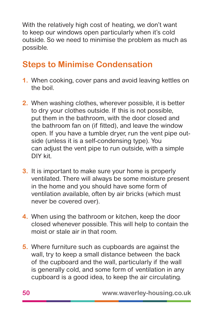With the relatively high cost of heating, we don't want to keep our windows open particularly when it's cold outside. So we need to minimise the problem as much as possible.

## **Steps to Minimise Condensation**

- **1.** When cooking, cover pans and avoid leaving kettles on the boil.
- **2.** When washing clothes, wherever possible, it is better to dry your clothes outside. If this is not possible, put them in the bathroom, with the door closed and the bathroom fan on (if fitted), and leave the window open. If you have a tumble dryer, run the vent pipe outside (unless it is a self-condensing type). You can adjust the vent pipe to run outside, with a simple DIY kit.
- **3.** It is important to make sure your home is properly ventilated. There will always be some moisture present in the home and you should have some form of ventilation available, often by air bricks (which must never be covered over).
- **4.** When using the bathroom or kitchen, keep the door closed whenever possible. This will help to contain the moist or stale air in that room.
- **5.** Where furniture such as cupboards are against the wall, try to keep a small distance between the back of the cupboard and the wall, particularly if the wall is generally cold, and some form of ventilation in any cupboard is a good idea, to keep the air circulating.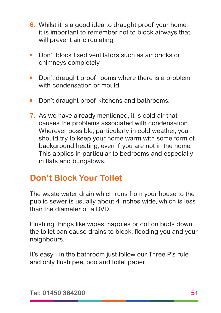- **6.** Whilst it is a good idea to draught proof your home, it is important to remember not to block airways that will prevent air circulating
- Don't block fixed ventilators such as air bricks or chimneys completely
- Don't draught proof rooms where there is a problem with condensation or mould
- Don't draught proof kitchens and bathrooms.
- **7.** As we have already mentioned, it is cold air that causes the problems associated with condensation. Wherever possible, particularly in cold weather, you should try to keep your home warm with some form of background heating, even if you are not in the home. This applies in particular to bedrooms and especially in flats and bungalows.

## **Don't Block Your Toilet**

The waste water drain which runs from your house to the public sewer is usually about 4 inches wide, which is less than the diameter of a DVD.

Flushing things like wipes, nappies or cotton buds down the toilet can cause drains to block, flooding you and your neighbours.

It's easy - in the bathroom just follow our Three P's rule and only flush pee, poo and toilet paper.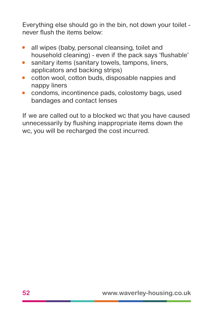Everything else should go in the bin, not down your toilet never flush the items below:

- all wipes (baby, personal cleansing, toilet and household cleaning) - even if the pack says 'flushable'
- sanitary items (sanitary towels, tampons, liners, applicators and backing strips)
- cotton wool, cotton buds, disposable nappies and nappy liners
- condoms, incontinence pads, colostomy bags, used bandages and contact lenses

If we are called out to a blocked wc that you have caused unnecessarily by flushing inappropriate items down the wc, you will be recharged the cost incurred.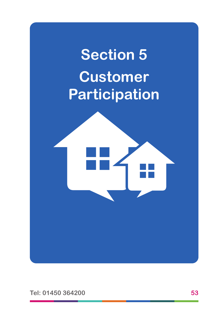

**Tel: 01450 364200 53**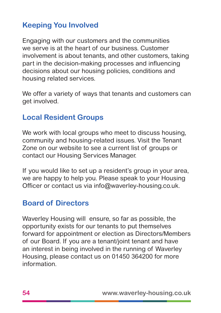#### **Keeping You Involved**

Engaging with our customers and the communities we serve is at the heart of our business. Customer involvement is about tenants, and other customers, taking part in the decision-making processes and influencing decisions about our housing policies, conditions and housing related services.

We offer a variety of ways that tenants and customers can get involved.

#### **Local Resident Groups**

We work with local groups who meet to discuss housing. community and housing-related issues. Visit the Tenant Zone on our website to see a current list of groups or contact our Housing Services Manager.

If you would like to set up a resident's group in your area, we are happy to help you. Please speak to your Housing Officer or contact us via info@waverley-housing.co.uk.

#### **Board of Directors**

Waverley Housing will ensure, so far as possible, the opportunity exists for our tenants to put themselves forward for appointment or election as Directors/Members of our Board. If you are a tenant/joint tenant and have an interest in being involved in the running of Waverley Housing, please contact us on 01450 364200 for more information.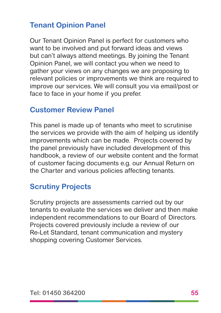#### **Tenant Opinion Panel**

Our Tenant Opinion Panel is perfect for customers who want to be involved and put forward ideas and views but can't always attend meetings. By joining the Tenant Opinion Panel, we will contact you when we need to gather your views on any changes we are proposing to relevant policies or improvements we think are required to improve our services. We will consult you via email/post or face to face in your home if you prefer.

#### **Customer Review Panel**

This panel is made up of tenants who meet to scrutinise the services we provide with the aim of helping us identify improvements which can be made. Projects covered by the panel previously have included development of this handbook, a review of our website content and the format of customer facing documents e.g. our Annual Return on the Charter and various policies affecting tenants.

#### **Scrutiny Projects**

Scrutiny projects are assessments carried out by our tenants to evaluate the services we deliver and then make independent recommendations to our Board of Directors. Projects covered previously include a review of our Re-Let Standard, tenant communication and mystery shopping covering Customer Services.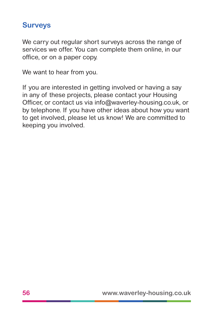#### **Surveys**

We carry out regular short surveys across the range of services we offer. You can complete them online, in our office, or on a paper copy.

We want to hear from you.

If you are interested in getting involved or having a say in any of these projects, please contact your Housing Officer, or contact us via info@waverley-housing.co.uk, or by telephone. If you have other ideas about how you want to get involved, please let us know! We are committed to keeping you involved.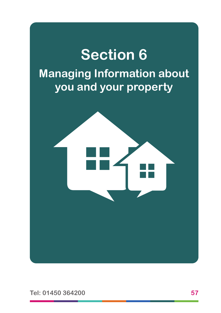# **Section 6 Managing Information about you and your property**



**Tel: 01450 364200 57**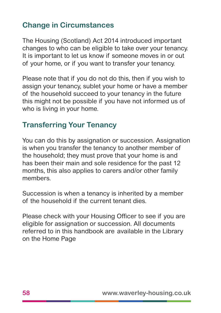#### **Change in Circumstances**

The Housing (Scotland) Act 2014 introduced important changes to who can be eligible to take over your tenancy. It is important to let us know if someone moves in or out of your home, or if you want to transfer your tenancy.

Please note that if you do not do this, then if you wish to assign your tenancy, sublet your home or have a member of the household succeed to your tenancy in the future this might not be possible if you have not informed us of who is living in your home.

#### **Transferring Your Tenancy**

You can do this by assignation or succession. Assignation is when you transfer the tenancy to another member of the household; they must prove that your home is and has been their main and sole residence for the past 12 months, this also applies to carers and/or other family members.

Succession is when a tenancy is inherited by a member of the household if the current tenant dies.

Please check with your Housing Officer to see if you are eligible for assignation or succession. All documents referred to in this handbook are available in the Library on the Home Page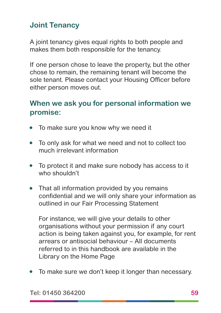#### **Joint Tenancy**

A joint tenancy gives equal rights to both people and makes them both responsible for the tenancy.

If one person chose to leave the property, but the other chose to remain, the remaining tenant will become the sole tenant. Please contact your Housing Officer before either person moves out.

#### **When we ask you for personal information we promise:**

- To make sure you know why we need it
- To only ask for what we need and not to collect too much irrelevant information
- To protect it and make sure nobody has access to it who shouldn't
- That all information provided by you remains confidential and we will only share your information as outlined in our Fair Processing Statement

For instance, we will give your details to other organisations without your permission if any court action is being taken against you, for example, for rent arrears or antisocial behaviour – All documents referred to in this handbook are available in the Library on the Home Page

• To make sure we don't keep it longer than necessary.

**Tel: 01450 364200 59**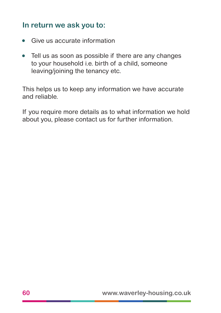#### **In return we ask you to:**

- Give us accurate information
- Tell us as soon as possible if there are any changes to your household i.e. birth of a child, someone leaving/joining the tenancy etc.

This helps us to keep any information we have accurate and reliable.

If you require more details as to what information we hold about you, please contact us for further information.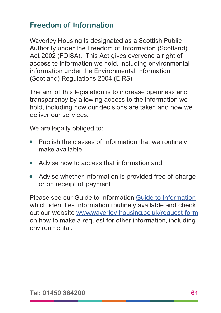#### **Freedom of Information**

Waverley Housing is designated as a Scottish Public Authority under the Freedom of Information (Scotland) Act 2002 (FOISA). This Act gives everyone a right of access to information we hold, including environmental information under the Environmental Information (Scotland) Regulations 2004 (EIRS).

The aim of this legislation is to increase openness and transparency by allowing access to the information we hold, including how our decisions are taken and how we deliver our services.

We are legally obliged to:

- Publish the classes of information that we routinely make available
- Advise how to access that information and
- Advise whether information is provided free of charge or on receipt of payment.

Please see our Guide to Information [Guide to](https://www.waverley-housing.co.uk/freedom-of-information/guide-to-information/) Information which identifies information routinely available and check out our website [www.waverley-housing.co.uk/request-form](https://www.waverley-housing.co.uk/freedom-of-information/foi-request-form/) on how to make a request for other information, including environmental.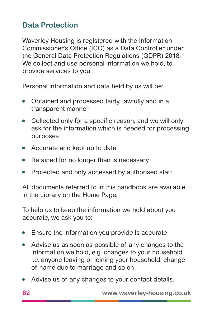#### **Data Protection**

Waverley Housing is registered with the Information Commissioner's Office (ICO) as a Data Controller under the General Data Protection Regulations (GDPR) 2018. We collect and use personal information we hold, to provide services to you.

Personal information and data held by us will be:

- Obtained and processed fairly, lawfully and in a transparent manner
- Collected only for a specific reason, and we will only ask for the information which is needed for processing purposes
- Accurate and kept up to date
- Retained for no longer than is necessary
- Protected and only accessed by authorised staff.

All documents referred to in this handbook are available in the Library on the Home Page.

To help us to keep the information we hold about you accurate, we ask you to:

- Ensure the information you provide is accurate
- Advise us as soon as possible of any changes to the information we hold, e.g. changes to your household i.e. anyone leaving or joining your household, change of name due to marriage and so on
- Advise us of any changes to your contact details.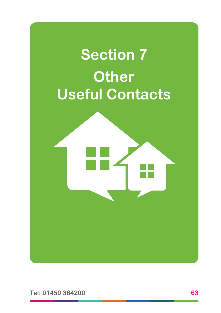

**Tel: 01450 364200 63**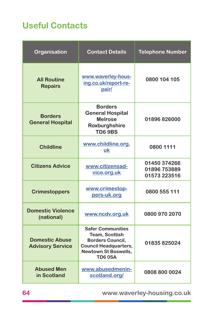## **Useful Contacts**

| Organisation                                     | <b>Contact Details</b>                                                                                                                                | <b>Telephone Number</b>                      |
|--------------------------------------------------|-------------------------------------------------------------------------------------------------------------------------------------------------------|----------------------------------------------|
| <b>All Routine</b><br><b>Repairs</b>             | www.waverley-hous-<br>ing.co.uk/report-re-<br>pair/                                                                                                   | 0800 104 105                                 |
| <b>Borders</b><br><b>General Hospital</b>        | <b>Borders</b><br><b>General Hospital</b><br><b>Melrose</b><br>Roxburghshire<br><b>TD69BS</b>                                                         | 01896826000                                  |
| <b>Childline</b>                                 | www.childline.org.<br>uk                                                                                                                              | 0800 1111                                    |
| <b>Citizens Advice</b>                           | www.citizensad-<br>vice.org.uk                                                                                                                        | 01450 374266<br>01896 753889<br>01573 223516 |
| <b>Crimestoppers</b>                             | www.crimestop-<br>pers-uk.org                                                                                                                         | 0800 555 111                                 |
| <b>Domestic Violence</b><br>(national)           | www.ncdv.org.uk                                                                                                                                       | 0800 970 2070                                |
| <b>Domestic Abuse</b><br><b>Advisory Service</b> | <b>Safer Communities</b><br>Team, Scottish<br><b>Borders Council,</b><br><b>Council Headquarters,</b><br><b>Newtown St Boswells,</b><br><b>TD60SA</b> | 01835825024                                  |
| <b>Abused Men</b><br>in Scotland                 | www.abusedmenin-<br>scotland.org/                                                                                                                     | 0808 800 0024                                |

**64 www.waverley-housing.co.uk**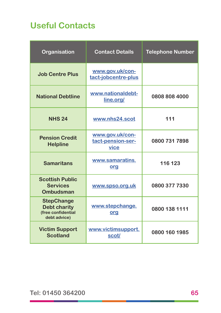## **Useful Contacts**

| Organisation                                                                   | <b>Contact Details</b>                       | <b>Telephone Number</b> |
|--------------------------------------------------------------------------------|----------------------------------------------|-------------------------|
| <b>Job Centre Plus</b>                                                         | www.gov.uk/con-<br>tact-jobcentre-plus       |                         |
| <b>National Debtline</b>                                                       | www.nationaldebt-<br>line.org/               | 0808 808 4000           |
| <b>NHS 24</b>                                                                  | www.nhs24.scot                               | 111                     |
| <b>Pension Credit</b><br><b>Helpline</b>                                       | www.gov.uk/con-<br>tact-pension-ser-<br>vice | 0800 731 7898           |
| <b>Samaritans</b>                                                              | www.samaratins.<br>org                       | 116 123                 |
| <b>Scottish Public</b><br><b>Services</b><br><b>Ombudsman</b>                  | www.spso.org.uk                              | 0800 377 7330           |
| <b>StepChange</b><br><b>Debt charity</b><br>(free confidential<br>debt advice) | www.stepchange.<br>org                       | 0800 138 1111           |
| <b>Victim Support</b><br><b>Scotland</b>                                       | www.victimsupport.<br>scot/                  | 0800 160 1985           |